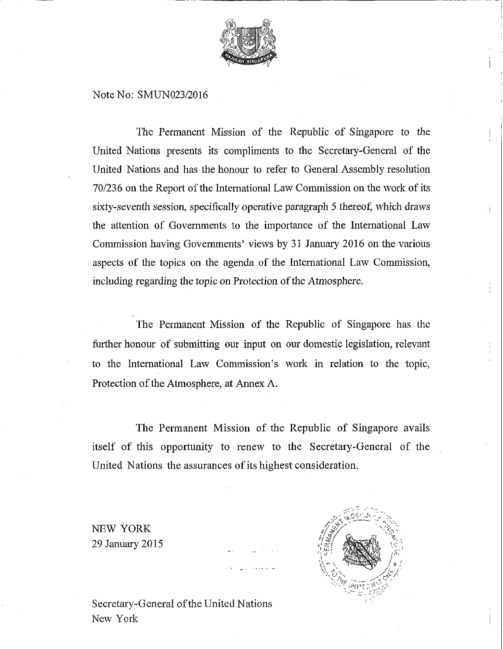

#### Note No: SMUN023/2016

The Permanent Mission of the Republic of Singapore to the United Nations presents its compliments to the Secretary-General of the United Nations and has the honour to refer to General Assembly resolution 70/236 on the Report of the International Law Commission on the work of its sixty-seventh session, specifically operative paragraph 5 thereof, which draws the attention of Governments to the importance of the International Law Commission having Governments' views by 31 January 2016 on the various aspects of the topics on the agenda of the International Law Commission, including regarding the topic on Protection of the Atmosphere.

The Permanent Mission of the Republic of Singapore has the further honour of submitting our input on our domestic legislation, relevant to the International Law Commission's work in relation to the topic, Protection of the Atmosphere, at Annex A.

The Permanent Mission of the Republic of Singapore avails itself of this opportunity to renew to the Secretary-General of the United Nations the assurances of its highest consideration.

NEW YORK 29 January 2015



Secretary-General of the United Nations New York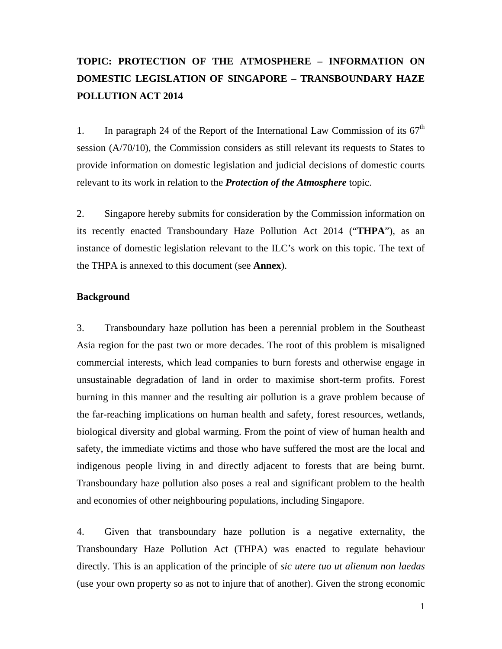# **TOPIC: PROTECTION OF THE ATMOSPHERE – INFORMATION ON DOMESTIC LEGISLATION OF SINGAPORE – TRANSBOUNDARY HAZE POLLUTION ACT 2014**

1. In paragraph 24 of the Report of the International Law Commission of its  $67<sup>th</sup>$ session (A/70/10), the Commission considers as still relevant its requests to States to provide information on domestic legislation and judicial decisions of domestic courts relevant to its work in relation to the *Protection of the Atmosphere* topic.

2. Singapore hereby submits for consideration by the Commission information on its recently enacted Transboundary Haze Pollution Act 2014 ("**THPA**"), as an instance of domestic legislation relevant to the ILC's work on this topic. The text of the THPA is annexed to this document (see **Annex**).

#### **Background**

3. Transboundary haze pollution has been a perennial problem in the Southeast Asia region for the past two or more decades. The root of this problem is misaligned commercial interests, which lead companies to burn forests and otherwise engage in unsustainable degradation of land in order to maximise short-term profits. Forest burning in this manner and the resulting air pollution is a grave problem because of the far-reaching implications on human health and safety, forest resources, wetlands, biological diversity and global warming. From the point of view of human health and safety, the immediate victims and those who have suffered the most are the local and indigenous people living in and directly adjacent to forests that are being burnt. Transboundary haze pollution also poses a real and significant problem to the health and economies of other neighbouring populations, including Singapore.

4. Given that transboundary haze pollution is a negative externality, the Transboundary Haze Pollution Act (THPA) was enacted to regulate behaviour directly. This is an application of the principle of *sic utere tuo ut alienum non laedas* (use your own property so as not to injure that of another). Given the strong economic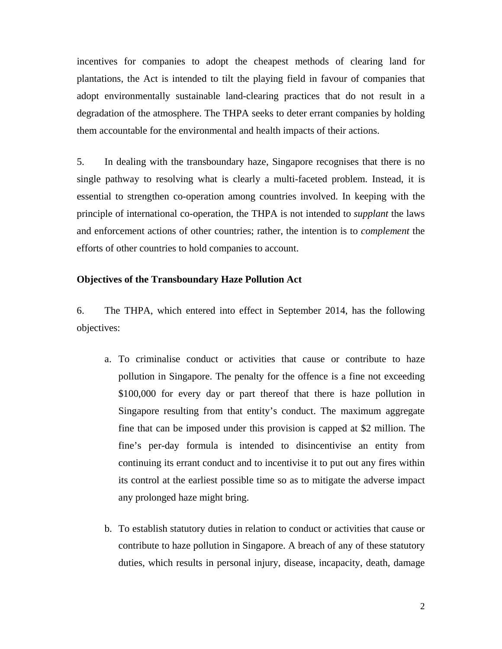incentives for companies to adopt the cheapest methods of clearing land for plantations, the Act is intended to tilt the playing field in favour of companies that adopt environmentally sustainable land-clearing practices that do not result in a degradation of the atmosphere. The THPA seeks to deter errant companies by holding them accountable for the environmental and health impacts of their actions.

5. In dealing with the transboundary haze, Singapore recognises that there is no single pathway to resolving what is clearly a multi-faceted problem. Instead, it is essential to strengthen co-operation among countries involved. In keeping with the principle of international co-operation, the THPA is not intended to *supplant* the laws and enforcement actions of other countries; rather, the intention is to *complement* the efforts of other countries to hold companies to account.

#### **Objectives of the Transboundary Haze Pollution Act**

6. The THPA, which entered into effect in September 2014, has the following objectives:

- a. To criminalise conduct or activities that cause or contribute to haze pollution in Singapore. The penalty for the offence is a fine not exceeding \$100,000 for every day or part thereof that there is haze pollution in Singapore resulting from that entity's conduct. The maximum aggregate fine that can be imposed under this provision is capped at \$2 million. The fine's per-day formula is intended to disincentivise an entity from continuing its errant conduct and to incentivise it to put out any fires within its control at the earliest possible time so as to mitigate the adverse impact any prolonged haze might bring.
- b. To establish statutory duties in relation to conduct or activities that cause or contribute to haze pollution in Singapore. A breach of any of these statutory duties, which results in personal injury, disease, incapacity, death, damage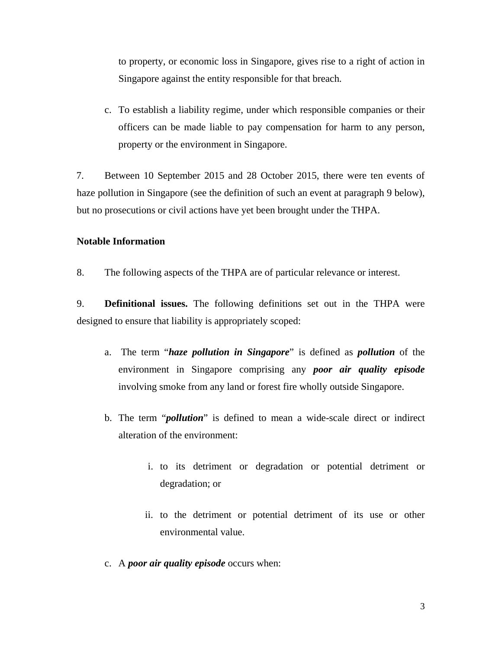to property, or economic loss in Singapore, gives rise to a right of action in Singapore against the entity responsible for that breach.

c. To establish a liability regime, under which responsible companies or their officers can be made liable to pay compensation for harm to any person, property or the environment in Singapore.

7. Between 10 September 2015 and 28 October 2015, there were ten events of haze pollution in Singapore (see the definition of such an event at paragraph 9 below), but no prosecutions or civil actions have yet been brought under the THPA.

#### **Notable Information**

8. The following aspects of the THPA are of particular relevance or interest.

9. **Definitional issues.** The following definitions set out in the THPA were designed to ensure that liability is appropriately scoped:

- a. The term "*haze pollution in Singapore*" is defined as *pollution* of the environment in Singapore comprising any *poor air quality episode* involving smoke from any land or forest fire wholly outside Singapore.
- b. The term "*pollution*" is defined to mean a wide-scale direct or indirect alteration of the environment:
	- i. to its detriment or degradation or potential detriment or degradation; or
	- ii. to the detriment or potential detriment of its use or other environmental value.
- c. A *poor air quality episode* occurs when: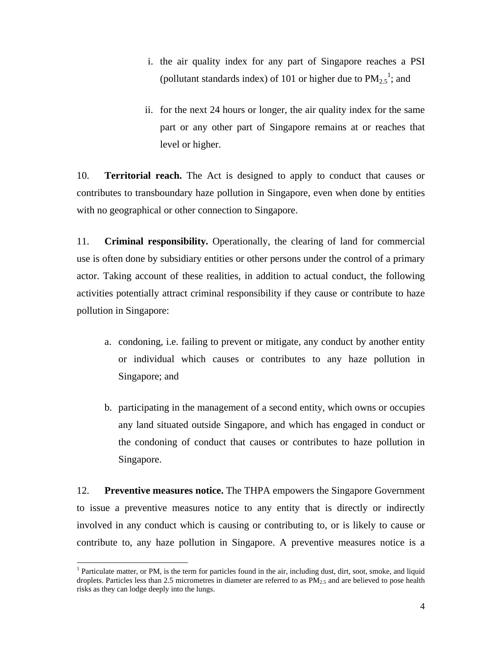- i. the air quality index for any part of Singapore reaches a PSI (pollutant standards index) of 101 or higher due to  $PM_{2.5}^{-1}$ ; and
- ii. for the next 24 hours or longer, the air quality index for the same part or any other part of Singapore remains at or reaches that level or higher.

10. **Territorial reach.** The Act is designed to apply to conduct that causes or contributes to transboundary haze pollution in Singapore, even when done by entities with no geographical or other connection to Singapore.

11. **Criminal responsibility.** Operationally, the clearing of land for commercial use is often done by subsidiary entities or other persons under the control of a primary actor. Taking account of these realities, in addition to actual conduct, the following activities potentially attract criminal responsibility if they cause or contribute to haze pollution in Singapore:

- a. condoning, i.e. failing to prevent or mitigate, any conduct by another entity or individual which causes or contributes to any haze pollution in Singapore; and
- b. participating in the management of a second entity, which owns or occupies any land situated outside Singapore, and which has engaged in conduct or the condoning of conduct that causes or contributes to haze pollution in Singapore.

12. **Preventive measures notice.** The THPA empowers the Singapore Government to issue a preventive measures notice to any entity that is directly or indirectly involved in any conduct which is causing or contributing to, or is likely to cause or contribute to, any haze pollution in Singapore. A preventive measures notice is a

<sup>&</sup>lt;sup>1</sup> Particulate matter, or PM, is the term for particles found in the air, including dust, dirt, soot, smoke, and liquid droplets. Particles less than 2.5 micrometres in diameter are referred to as  $PM_{2.5}$  and are believed to pose health risks as they can lodge deeply into the lungs.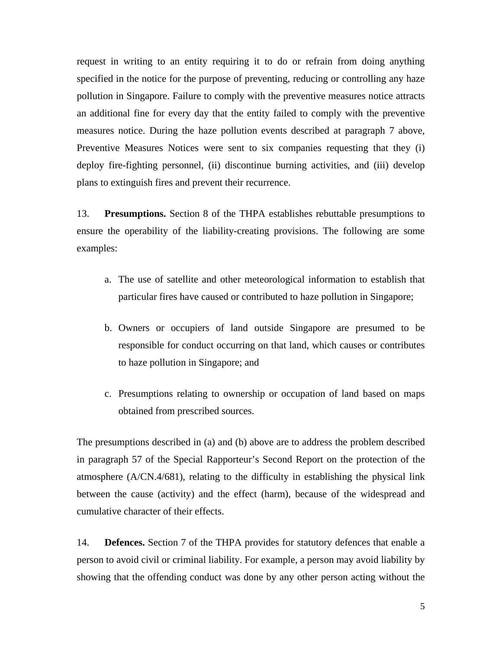request in writing to an entity requiring it to do or refrain from doing anything specified in the notice for the purpose of preventing, reducing or controlling any haze pollution in Singapore. Failure to comply with the preventive measures notice attracts an additional fine for every day that the entity failed to comply with the preventive measures notice. During the haze pollution events described at paragraph 7 above, Preventive Measures Notices were sent to six companies requesting that they (i) deploy fire-fighting personnel, (ii) discontinue burning activities, and (iii) develop plans to extinguish fires and prevent their recurrence.

13. **Presumptions.** Section 8 of the THPA establishes rebuttable presumptions to ensure the operability of the liability-creating provisions. The following are some examples:

- a. The use of satellite and other meteorological information to establish that particular fires have caused or contributed to haze pollution in Singapore;
- b. Owners or occupiers of land outside Singapore are presumed to be responsible for conduct occurring on that land, which causes or contributes to haze pollution in Singapore; and
- c. Presumptions relating to ownership or occupation of land based on maps obtained from prescribed sources.

The presumptions described in (a) and (b) above are to address the problem described in paragraph 57 of the Special Rapporteur's Second Report on the protection of the atmosphere (A/CN.4/681), relating to the difficulty in establishing the physical link between the cause (activity) and the effect (harm), because of the widespread and cumulative character of their effects.

14. **Defences.** Section 7 of the THPA provides for statutory defences that enable a person to avoid civil or criminal liability. For example, a person may avoid liability by showing that the offending conduct was done by any other person acting without the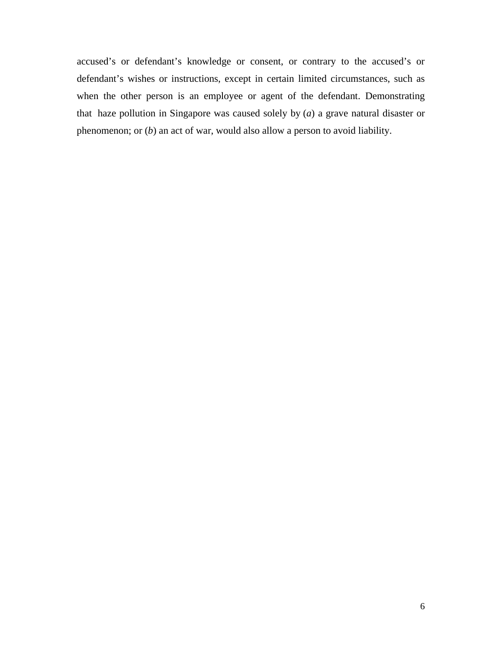accused's or defendant's knowledge or consent, or contrary to the accused's or defendant's wishes or instructions, except in certain limited circumstances, such as when the other person is an employee or agent of the defendant. Demonstrating that haze pollution in Singapore was caused solely by (*a*) a grave natural disaster or phenomenon; or (*b*) an act of war, would also allow a person to avoid liability.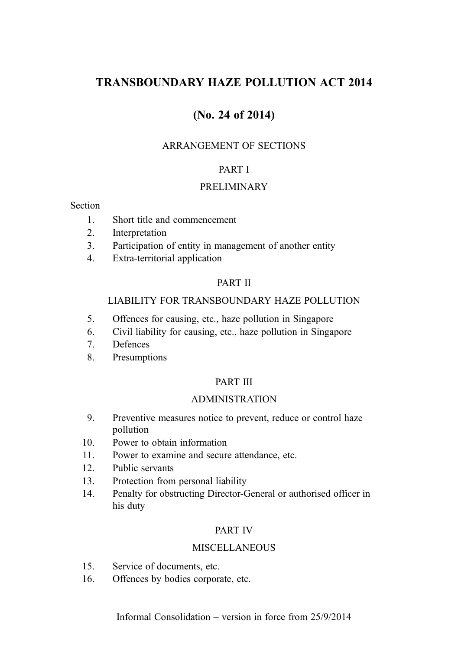## TRANSBOUNDARY HAZE POLLUTION ACT 2014

## (No. 24 of 2014)

#### ARRANGEMENT OF SECTIONS

#### PART I

#### PRELIMINARY

#### Section

- 1. Short title and commencement
- 2. Interpretation
- 3. Participation of entity in management of another entity
- 4. Extra-territorial application

#### PART II

#### LIABILITY FOR TRANSBOUNDARY HAZE POLLUTION

- 5. Offences for causing, etc., haze pollution in Singapore
- 6. Civil liability for causing, etc., haze pollution in Singapore
- 7. Defences
- 8. Presumptions

#### PART III

#### ADMINISTRATION

- 9. Preventive measures notice to prevent, reduce or control haze pollution
- 10. Power to obtain information
- 11. Power to examine and secure attendance, etc.
- 12. Public servants
- 13. Protection from personal liability
- 14. Penalty for obstructing Director-General or authorised officer in his duty

#### PART IV

#### MISCELL ANEOUS

- 15. Service of documents, etc.
- 16. Offences by bodies corporate, etc.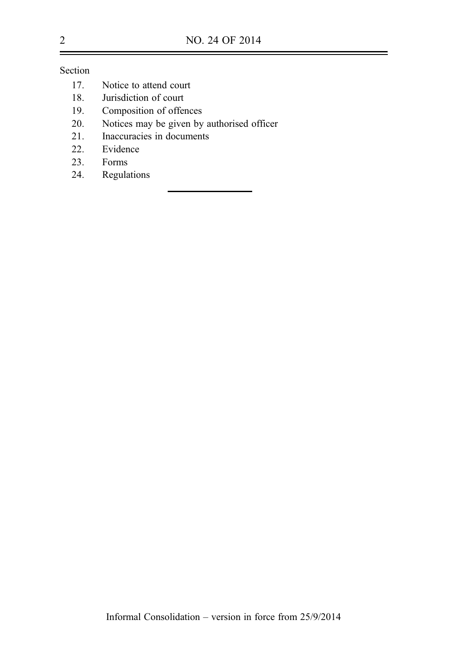Section

- 17. Notice to attend court
- 18. Jurisdiction of court
- 19. Composition of offences
- 20. Notices may be given by authorised officer
- 21. Inaccuracies in documents<br>22. Evidence
- Evidence
- 23. Forms
- 24. Regulations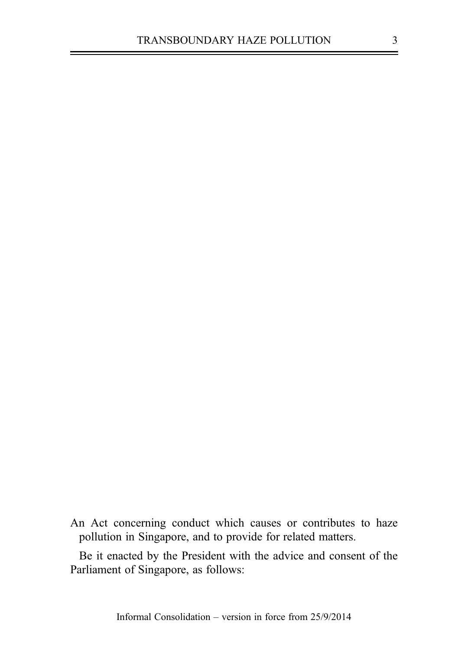An Act concerning conduct which causes or contributes to haze pollution in Singapore, and to provide for related matters.

Be it enacted by the President with the advice and consent of the Parliament of Singapore, as follows: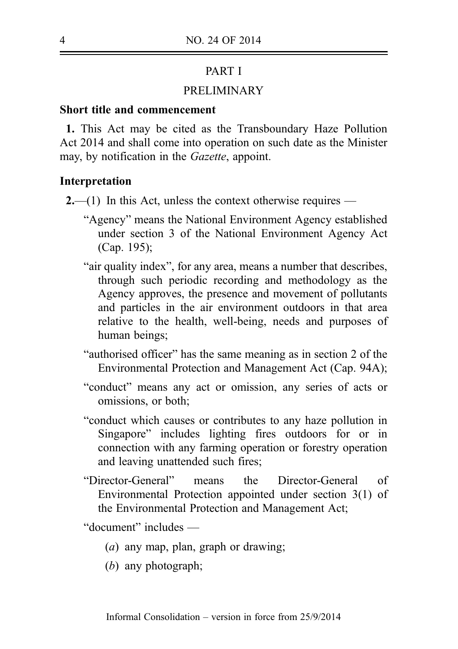## PART I

### PRELIMINARY

### Short title and commencement

1. This Act may be cited as the Transboundary Haze Pollution Act 2014 and shall come into operation on such date as the Minister may, by notification in the Gazette, appoint.

### Interpretation

- $2$ —(1) In this Act, unless the context otherwise requires
	- "Agency" means the National Environment Agency established under section 3 of the National Environment Agency Act (Cap. 195);
	- "air quality index", for any area, means a number that describes, through such periodic recording and methodology as the Agency approves, the presence and movement of pollutants and particles in the air environment outdoors in that area relative to the health, well-being, needs and purposes of human beings;
	- "authorised officer" has the same meaning as in section 2 of the Environmental Protection and Management Act (Cap. 94A);
	- "conduct" means any act or omission, any series of acts or omissions, or both;
	- "conduct which causes or contributes to any haze pollution in Singapore" includes lighting fires outdoors for or in connection with any farming operation or forestry operation and leaving unattended such fires;
	- "Director-General" means the Director-General of Environmental Protection appointed under section 3(1) of the Environmental Protection and Management Act;

"document" includes —

- (a) any map, plan, graph or drawing;
- (b) any photograph: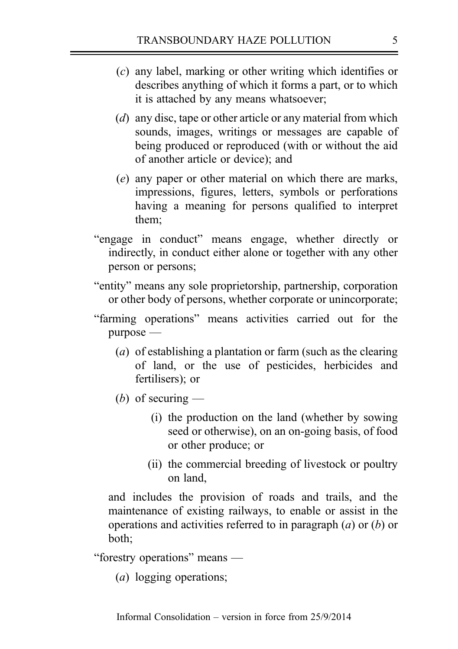- (c) any label, marking or other writing which identifies or describes anything of which it forms a part, or to which it is attached by any means whatsoever;
- (*d*) any disc, tape or other article or any material from which sounds, images, writings or messages are capable of being produced or reproduced (with or without the aid of another article or device); and
- (e) any paper or other material on which there are marks, impressions, figures, letters, symbols or perforations having a meaning for persons qualified to interpret them;
- "engage in conduct" means engage, whether directly or indirectly, in conduct either alone or together with any other person or persons;
- "entity" means any sole proprietorship, partnership, corporation or other body of persons, whether corporate or unincorporate;
- "farming operations" means activities carried out for the purpose —
	- (a) of establishing a plantation or farm (such as the clearing of land, or the use of pesticides, herbicides and fertilisers); or
	- (b) of securing  $-$ 
		- (i) the production on the land (whether by sowing seed or otherwise), on an on‑going basis, of food or other produce; or
		- (ii) the commercial breeding of livestock or poultry on land,

and includes the provision of roads and trails, and the maintenance of existing railways, to enable or assist in the operations and activities referred to in paragraph  $(a)$  or  $(b)$  or both;

"forestry operations" means —

(a) logging operations;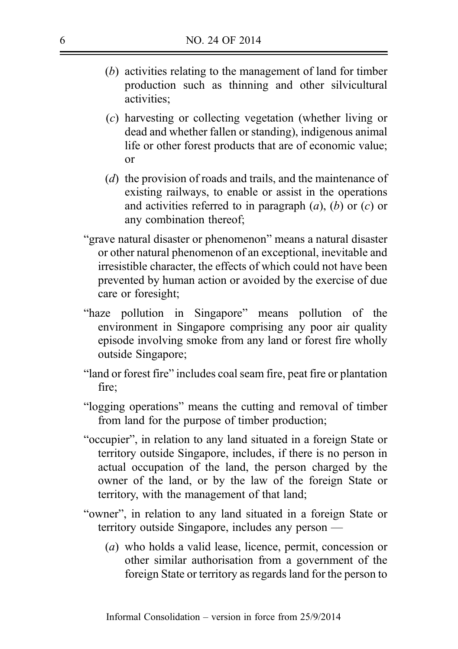- (b) activities relating to the management of land for timber production such as thinning and other silvicultural activities;
- (c) harvesting or collecting vegetation (whether living or dead and whether fallen or standing), indigenous animal life or other forest products that are of economic value; or
- (d) the provision of roads and trails, and the maintenance of existing railways, to enable or assist in the operations and activities referred to in paragraph  $(a)$ ,  $(b)$  or  $(c)$  or any combination thereof;
- "grave natural disaster or phenomenon" means a natural disaster or other natural phenomenon of an exceptional, inevitable and irresistible character, the effects of which could not have been prevented by human action or avoided by the exercise of due care or foresight;
- "haze pollution in Singapore" means pollution of the environment in Singapore comprising any poor air quality episode involving smoke from any land or forest fire wholly outside Singapore;
- "land or forest fire" includes coal seam fire, peat fire or plantation fire;
- "logging operations" means the cutting and removal of timber from land for the purpose of timber production;
- "occupier", in relation to any land situated in a foreign State or territory outside Singapore, includes, if there is no person in actual occupation of the land, the person charged by the owner of the land, or by the law of the foreign State or territory, with the management of that land;
- "owner", in relation to any land situated in a foreign State or territory outside Singapore, includes any person —
	- (a) who holds a valid lease, licence, permit, concession or other similar authorisation from a government of the foreign State or territory as regards land for the person to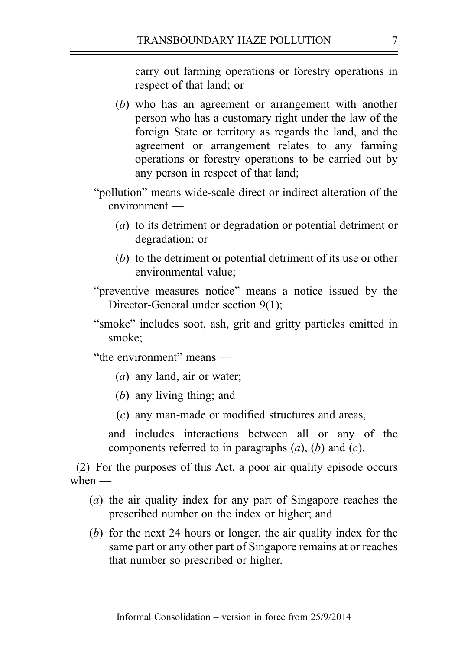carry out farming operations or forestry operations in respect of that land; or

- (b) who has an agreement or arrangement with another person who has a customary right under the law of the foreign State or territory as regards the land, and the agreement or arrangement relates to any farming operations or forestry operations to be carried out by any person in respect of that land;
- "pollution" means wide-scale direct or indirect alteration of the environment —
	- (a) to its detriment or degradation or potential detriment or degradation; or
	- (b) to the detriment or potential detriment of its use or other environmental value;

"preventive measures notice" means a notice issued by the Director-General under section 9(1);

"smoke" includes soot, ash, grit and gritty particles emitted in smoke;

"the environment" means —

- (a) any land, air or water;
- (b) any living thing; and
- (c) any man-made or modified structures and areas,

and includes interactions between all or any of the components referred to in paragraphs  $(a)$ ,  $(b)$  and  $(c)$ .

(2) For the purposes of this Act, a poor air quality episode occurs when  $-$ 

- (a) the air quality index for any part of Singapore reaches the prescribed number on the index or higher; and
- (b) for the next 24 hours or longer, the air quality index for the same part or any other part of Singapore remains at or reaches that number so prescribed or higher.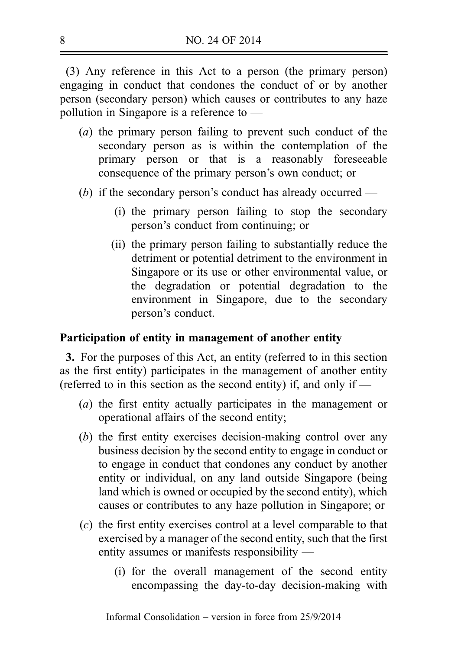(3) Any reference in this Act to a person (the primary person) engaging in conduct that condones the conduct of or by another person (secondary person) which causes or contributes to any haze pollution in Singapore is a reference to —

- (a) the primary person failing to prevent such conduct of the secondary person as is within the contemplation of the primary person or that is a reasonably foreseeable consequence of the primary person's own conduct; or
- (b) if the secondary person's conduct has already occurred
	- (i) the primary person failing to stop the secondary person's conduct from continuing; or
	- (ii) the primary person failing to substantially reduce the detriment or potential detriment to the environment in Singapore or its use or other environmental value, or the degradation or potential degradation to the environment in Singapore, due to the secondary person's conduct.

#### Participation of entity in management of another entity

3. For the purposes of this Act, an entity (referred to in this section as the first entity) participates in the management of another entity (referred to in this section as the second entity) if, and only if —

- (a) the first entity actually participates in the management or operational affairs of the second entity;
- $(b)$  the first entity exercises decision-making control over any business decision by the second entity to engage in conduct or to engage in conduct that condones any conduct by another entity or individual, on any land outside Singapore (being land which is owned or occupied by the second entity), which causes or contributes to any haze pollution in Singapore; or
- (c) the first entity exercises control at a level comparable to that exercised by a manager of the second entity, such that the first entity assumes or manifests responsibility —
	- (i) for the overall management of the second entity encompassing the day-to-day decision-making with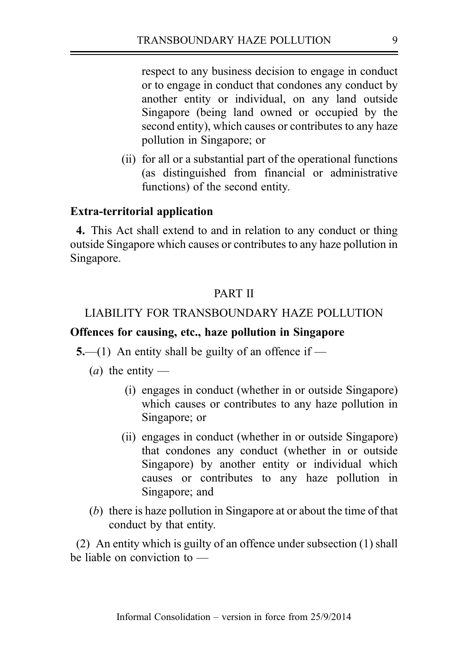respect to any business decision to engage in conduct or to engage in conduct that condones any conduct by another entity or individual, on any land outside Singapore (being land owned or occupied by the second entity), which causes or contributes to any haze pollution in Singapore; or

(ii) for all or a substantial part of the operational functions (as distinguished from financial or administrative functions) of the second entity.

### Extra-territorial application

4. This Act shall extend to and in relation to any conduct or thing outside Singapore which causes or contributes to any haze pollution in Singapore.

### PART II

### LIABILITY FOR TRANSBOUNDARY HAZE POLLUTION

### Offences for causing, etc., haze pollution in Singapore

5.—(1) An entity shall be guilty of an offence if —

(*a*) the entity —

- (i) engages in conduct (whether in or outside Singapore) which causes or contributes to any haze pollution in Singapore; or
- (ii) engages in conduct (whether in or outside Singapore) that condones any conduct (whether in or outside Singapore) by another entity or individual which causes or contributes to any haze pollution in Singapore; and
- (b) there is haze pollution in Singapore at or about the time of that conduct by that entity.

(2) An entity which is guilty of an offence under subsection (1) shall be liable on conviction to —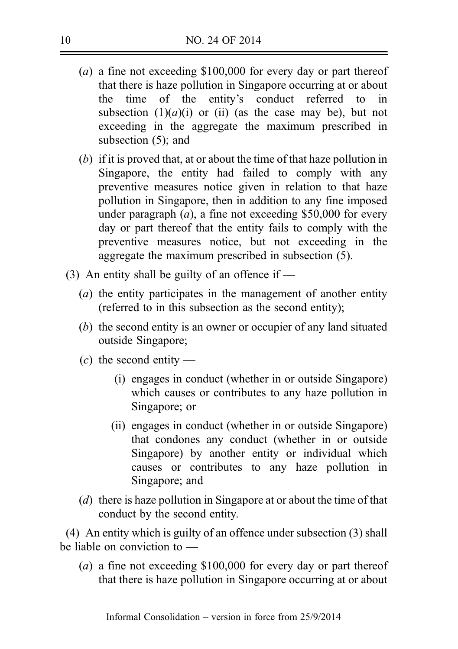- (a) a fine not exceeding \$100,000 for every day or part thereof that there is haze pollution in Singapore occurring at or about the time of the entity's conduct referred to in subsection  $(1)(a)(i)$  or (ii) (as the case may be), but not exceeding in the aggregate the maximum prescribed in subsection (5); and
- (b) if it is proved that, at or about the time of that haze pollution in Singapore, the entity had failed to comply with any preventive measures notice given in relation to that haze pollution in Singapore, then in addition to any fine imposed under paragraph  $(a)$ , a fine not exceeding \$50,000 for every day or part thereof that the entity fails to comply with the preventive measures notice, but not exceeding in the aggregate the maximum prescribed in subsection (5).
- (3) An entity shall be guilty of an offence if  $-$ 
	- (a) the entity participates in the management of another entity (referred to in this subsection as the second entity);
	- (b) the second entity is an owner or occupier of any land situated outside Singapore;
	- $(c)$  the second entity
		- (i) engages in conduct (whether in or outside Singapore) which causes or contributes to any haze pollution in Singapore; or
		- (ii) engages in conduct (whether in or outside Singapore) that condones any conduct (whether in or outside Singapore) by another entity or individual which causes or contributes to any haze pollution in Singapore; and
	- (d) there is haze pollution in Singapore at or about the time of that conduct by the second entity.

(4) An entity which is guilty of an offence under subsection (3) shall be liable on conviction to —

(a) a fine not exceeding \$100,000 for every day or part thereof that there is haze pollution in Singapore occurring at or about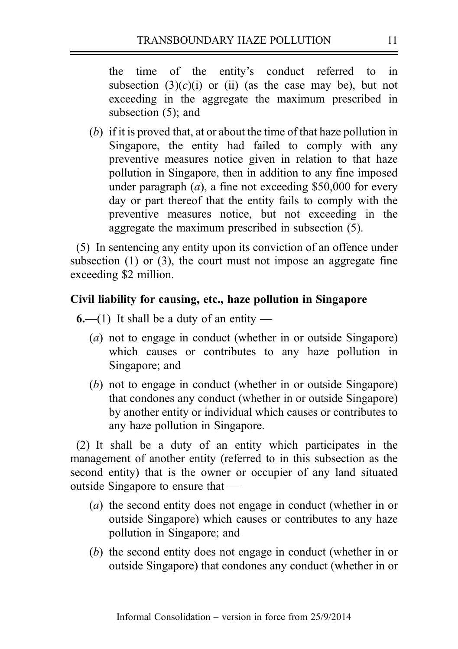the time of the entity's conduct referred to in subsection  $(3)(c)(i)$  or (ii) (as the case may be), but not exceeding in the aggregate the maximum prescribed in subsection (5); and

(b) if it is proved that, at or about the time of that haze pollution in Singapore, the entity had failed to comply with any preventive measures notice given in relation to that haze pollution in Singapore, then in addition to any fine imposed under paragraph  $(a)$ , a fine not exceeding \$50,000 for every day or part thereof that the entity fails to comply with the preventive measures notice, but not exceeding in the aggregate the maximum prescribed in subsection (5).

(5) In sentencing any entity upon its conviction of an offence under subsection (1) or (3), the court must not impose an aggregate fine exceeding \$2 million.

## Civil liability for causing, etc., haze pollution in Singapore

 $6-(1)$  It shall be a duty of an entity —

- (a) not to engage in conduct (whether in or outside Singapore) which causes or contributes to any haze pollution in Singapore; and
- (b) not to engage in conduct (whether in or outside Singapore) that condones any conduct (whether in or outside Singapore) by another entity or individual which causes or contributes to any haze pollution in Singapore.

(2) It shall be a duty of an entity which participates in the management of another entity (referred to in this subsection as the second entity) that is the owner or occupier of any land situated outside Singapore to ensure that —

- (a) the second entity does not engage in conduct (whether in or outside Singapore) which causes or contributes to any haze pollution in Singapore; and
- (b) the second entity does not engage in conduct (whether in or outside Singapore) that condones any conduct (whether in or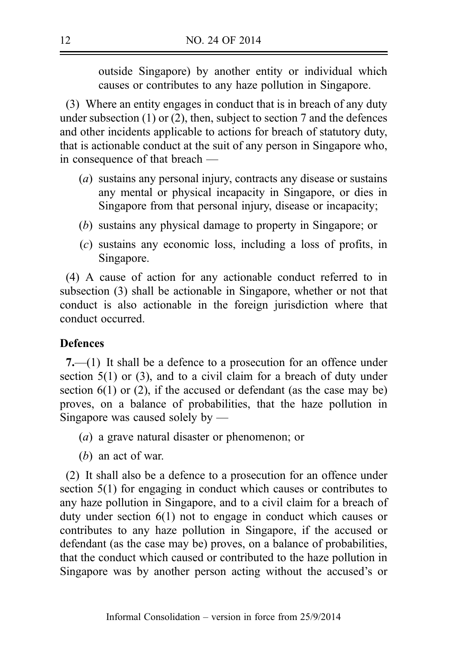outside Singapore) by another entity or individual which causes or contributes to any haze pollution in Singapore.

(3) Where an entity engages in conduct that is in breach of any duty under subsection (1) or (2), then, subject to section 7 and the defences and other incidents applicable to actions for breach of statutory duty, that is actionable conduct at the suit of any person in Singapore who, in consequence of that breach —

- (a) sustains any personal injury, contracts any disease or sustains any mental or physical incapacity in Singapore, or dies in Singapore from that personal injury, disease or incapacity;
- (b) sustains any physical damage to property in Singapore; or
- (c) sustains any economic loss, including a loss of profits, in Singapore.

(4) A cause of action for any actionable conduct referred to in subsection (3) shall be actionable in Singapore, whether or not that conduct is also actionable in the foreign jurisdiction where that conduct occurred.

## **Defences**

7.—(1) It shall be a defence to a prosecution for an offence under section 5(1) or (3), and to a civil claim for a breach of duty under section  $6(1)$  or (2), if the accused or defendant (as the case may be) proves, on a balance of probabilities, that the haze pollution in Singapore was caused solely by —

- (a) a grave natural disaster or phenomenon; or
- (b) an act of war.

(2) It shall also be a defence to a prosecution for an offence under section 5(1) for engaging in conduct which causes or contributes to any haze pollution in Singapore, and to a civil claim for a breach of duty under section 6(1) not to engage in conduct which causes or contributes to any haze pollution in Singapore, if the accused or defendant (as the case may be) proves, on a balance of probabilities, that the conduct which caused or contributed to the haze pollution in Singapore was by another person acting without the accused's or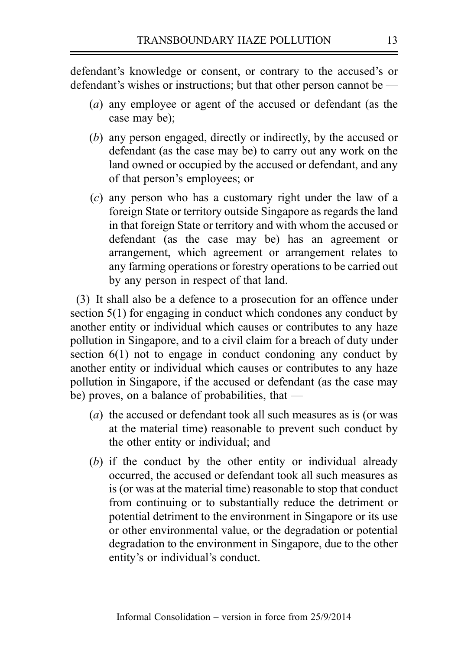defendant's knowledge or consent, or contrary to the accused's or defendant's wishes or instructions; but that other person cannot be —

- (a) any employee or agent of the accused or defendant (as the case may be);
- (b) any person engaged, directly or indirectly, by the accused or defendant (as the case may be) to carry out any work on the land owned or occupied by the accused or defendant, and any of that person's employees; or
- (c) any person who has a customary right under the law of a foreign State or territory outside Singapore as regards the land in that foreign State or territory and with whom the accused or defendant (as the case may be) has an agreement or arrangement, which agreement or arrangement relates to any farming operations or forestry operations to be carried out by any person in respect of that land.

(3) It shall also be a defence to a prosecution for an offence under section 5(1) for engaging in conduct which condones any conduct by another entity or individual which causes or contributes to any haze pollution in Singapore, and to a civil claim for a breach of duty under section 6(1) not to engage in conduct condoning any conduct by another entity or individual which causes or contributes to any haze pollution in Singapore, if the accused or defendant (as the case may be) proves, on a balance of probabilities, that —

- (a) the accused or defendant took all such measures as is (or was at the material time) reasonable to prevent such conduct by the other entity or individual; and
- (b) if the conduct by the other entity or individual already occurred, the accused or defendant took all such measures as is (or was at the material time) reasonable to stop that conduct from continuing or to substantially reduce the detriment or potential detriment to the environment in Singapore or its use or other environmental value, or the degradation or potential degradation to the environment in Singapore, due to the other entity's or individual's conduct.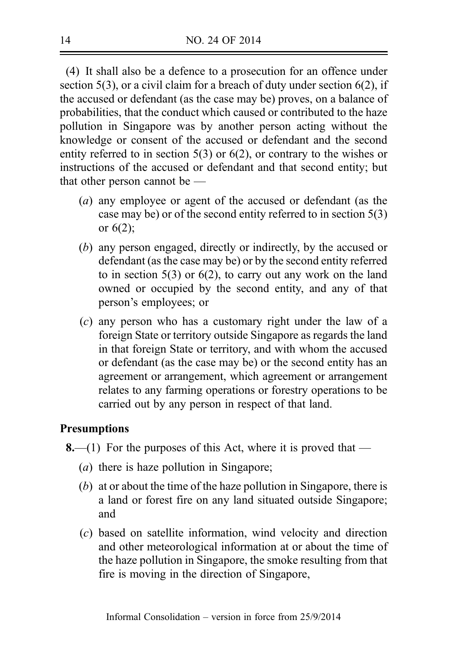(4) It shall also be a defence to a prosecution for an offence under section 5(3), or a civil claim for a breach of duty under section 6(2), if the accused or defendant (as the case may be) proves, on a balance of probabilities, that the conduct which caused or contributed to the haze pollution in Singapore was by another person acting without the knowledge or consent of the accused or defendant and the second entity referred to in section 5(3) or 6(2), or contrary to the wishes or instructions of the accused or defendant and that second entity; but that other person cannot be —

- (a) any employee or agent of the accused or defendant (as the case may be) or of the second entity referred to in section 5(3) or 6(2);
- (b) any person engaged, directly or indirectly, by the accused or defendant (as the case may be) or by the second entity referred to in section 5(3) or 6(2), to carry out any work on the land owned or occupied by the second entity, and any of that person's employees; or
- (c) any person who has a customary right under the law of a foreign State or territory outside Singapore as regards the land in that foreign State or territory, and with whom the accused or defendant (as the case may be) or the second entity has an agreement or arrangement, which agreement or arrangement relates to any farming operations or forestry operations to be carried out by any person in respect of that land.

## **Presumptions**

- **8.**—(1) For the purposes of this Act, where it is proved that
	- (a) there is haze pollution in Singapore;
	- (b) at or about the time of the haze pollution in Singapore, there is a land or forest fire on any land situated outside Singapore; and
	- (c) based on satellite information, wind velocity and direction and other meteorological information at or about the time of the haze pollution in Singapore, the smoke resulting from that fire is moving in the direction of Singapore,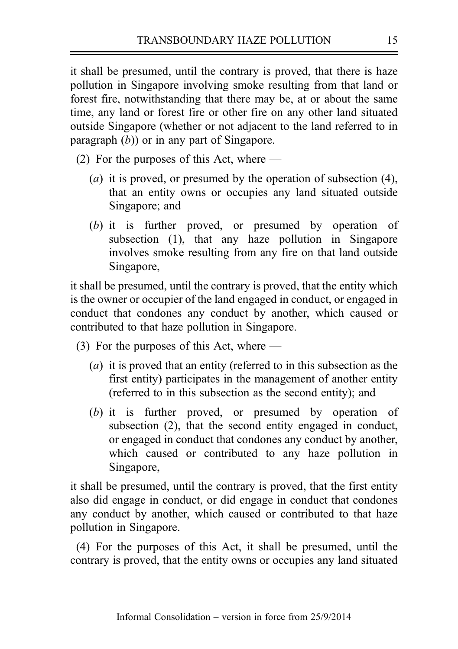it shall be presumed, until the contrary is proved, that there is haze pollution in Singapore involving smoke resulting from that land or forest fire, notwithstanding that there may be, at or about the same time, any land or forest fire or other fire on any other land situated outside Singapore (whether or not adjacent to the land referred to in paragraph  $(b)$ ) or in any part of Singapore.

- (2) For the purposes of this Act, where
	- (a) it is proved, or presumed by the operation of subsection  $(4)$ , that an entity owns or occupies any land situated outside Singapore; and
	- (b) it is further proved, or presumed by operation of subsection (1), that any haze pollution in Singapore involves smoke resulting from any fire on that land outside Singapore,

it shall be presumed, until the contrary is proved, that the entity which is the owner or occupier of the land engaged in conduct, or engaged in conduct that condones any conduct by another, which caused or contributed to that haze pollution in Singapore.

- (3) For the purposes of this Act, where
	- (a) it is proved that an entity (referred to in this subsection as the first entity) participates in the management of another entity (referred to in this subsection as the second entity); and
	- (b) it is further proved, or presumed by operation of subsection (2), that the second entity engaged in conduct, or engaged in conduct that condones any conduct by another, which caused or contributed to any haze pollution in Singapore,

it shall be presumed, until the contrary is proved, that the first entity also did engage in conduct, or did engage in conduct that condones any conduct by another, which caused or contributed to that haze pollution in Singapore.

(4) For the purposes of this Act, it shall be presumed, until the contrary is proved, that the entity owns or occupies any land situated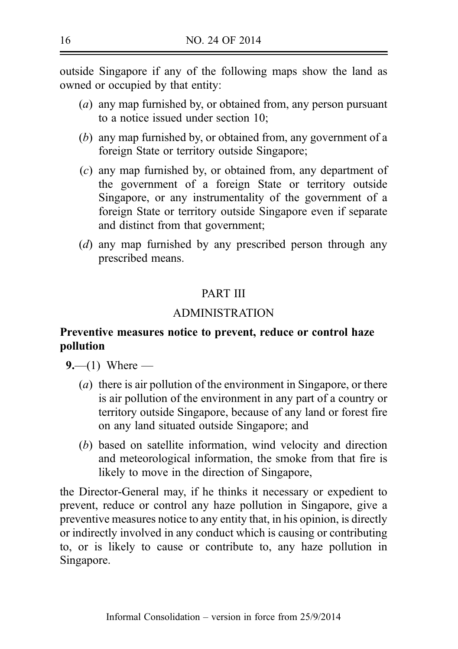outside Singapore if any of the following maps show the land as owned or occupied by that entity:

- (a) any map furnished by, or obtained from, any person pursuant to a notice issued under section 10;
- (b) any map furnished by, or obtained from, any government of a foreign State or territory outside Singapore;
- (c) any map furnished by, or obtained from, any department of the government of a foreign State or territory outside Singapore, or any instrumentality of the government of a foreign State or territory outside Singapore even if separate and distinct from that government;
- (d) any map furnished by any prescribed person through any prescribed means.

## PART III

## ADMINISTRATION

## Preventive measures notice to prevent, reduce or control haze pollution

 $9 - (1)$  Where —

- (a) there is air pollution of the environment in Singapore, or there is air pollution of the environment in any part of a country or territory outside Singapore, because of any land or forest fire on any land situated outside Singapore; and
- (b) based on satellite information, wind velocity and direction and meteorological information, the smoke from that fire is likely to move in the direction of Singapore,

the Director‑General may, if he thinks it necessary or expedient to prevent, reduce or control any haze pollution in Singapore, give a preventive measures notice to any entity that, in his opinion, is directly or indirectly involved in any conduct which is causing or contributing to, or is likely to cause or contribute to, any haze pollution in Singapore.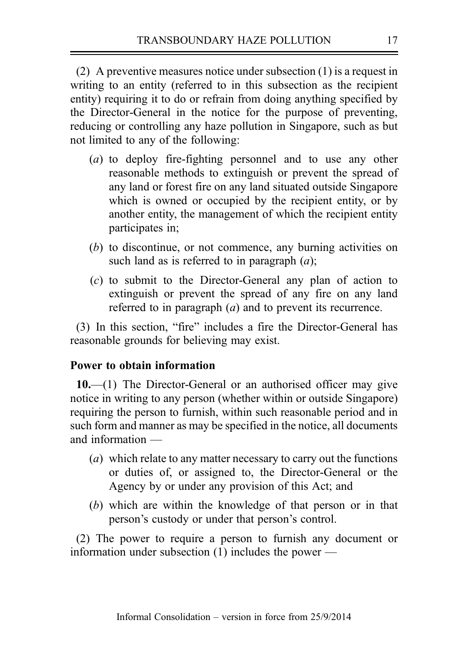(2) A preventive measures notice under subsection (1) is a request in writing to an entity (referred to in this subsection as the recipient entity) requiring it to do or refrain from doing anything specified by the Director‑General in the notice for the purpose of preventing, reducing or controlling any haze pollution in Singapore, such as but not limited to any of the following:

- (*a*) to deploy fire-fighting personnel and to use any other reasonable methods to extinguish or prevent the spread of any land or forest fire on any land situated outside Singapore which is owned or occupied by the recipient entity, or by another entity, the management of which the recipient entity participates in;
- (b) to discontinue, or not commence, any burning activities on such land as is referred to in paragraph  $(a)$ :
- (c) to submit to the Director-General any plan of action to extinguish or prevent the spread of any fire on any land referred to in paragraph (a) and to prevent its recurrence.

(3) In this section, "fire" includes a fire the Director‑General has reasonable grounds for believing may exist.

## Power to obtain information

10.—(1) The Director-General or an authorised officer may give notice in writing to any person (whether within or outside Singapore) requiring the person to furnish, within such reasonable period and in such form and manner as may be specified in the notice, all documents and information —

- (a) which relate to any matter necessary to carry out the functions or duties of, or assigned to, the Director‑General or the Agency by or under any provision of this Act; and
- (b) which are within the knowledge of that person or in that person's custody or under that person's control.

(2) The power to require a person to furnish any document or information under subsection (1) includes the power —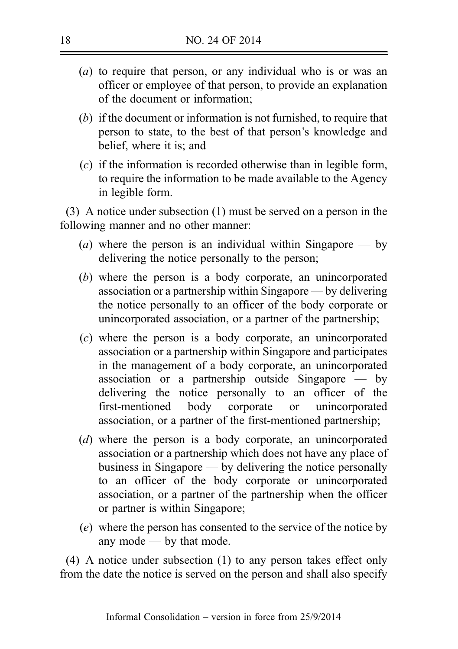- (a) to require that person, or any individual who is or was an officer or employee of that person, to provide an explanation of the document or information;
- (b) if the document or information is not furnished, to require that person to state, to the best of that person's knowledge and belief, where it is; and
- (c) if the information is recorded otherwise than in legible form, to require the information to be made available to the Agency in legible form.

(3) A notice under subsection (1) must be served on a person in the following manner and no other manner:

- (*a*) where the person is an individual within Singapore by delivering the notice personally to the person;
- (b) where the person is a body corporate, an unincorporated association or a partnership within Singapore — by delivering the notice personally to an officer of the body corporate or unincorporated association, or a partner of the partnership;
- (c) where the person is a body corporate, an unincorporated association or a partnership within Singapore and participates in the management of a body corporate, an unincorporated association or a partnership outside Singapore — by delivering the notice personally to an officer of the first‑mentioned body corporate or unincorporated association, or a partner of the first-mentioned partnership;
- (d) where the person is a body corporate, an unincorporated association or a partnership which does not have any place of business in Singapore — by delivering the notice personally to an officer of the body corporate or unincorporated association, or a partner of the partnership when the officer or partner is within Singapore;
- (e) where the person has consented to the service of the notice by any mode — by that mode.

(4) A notice under subsection (1) to any person takes effect only from the date the notice is served on the person and shall also specify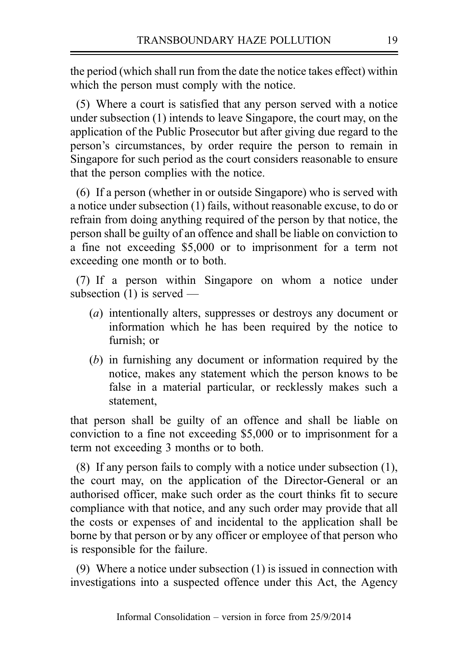the period (which shall run from the date the notice takes effect) within which the person must comply with the notice.

(5) Where a court is satisfied that any person served with a notice under subsection (1) intends to leave Singapore, the court may, on the application of the Public Prosecutor but after giving due regard to the person's circumstances, by order require the person to remain in Singapore for such period as the court considers reasonable to ensure that the person complies with the notice.

(6) If a person (whether in or outside Singapore) who is served with a notice under subsection (1) fails, without reasonable excuse, to do or refrain from doing anything required of the person by that notice, the person shall be guilty of an offence and shall be liable on conviction to a fine not exceeding \$5,000 or to imprisonment for a term not exceeding one month or to both.

(7) If a person within Singapore on whom a notice under subsection (1) is served —

- (a) intentionally alters, suppresses or destroys any document or information which he has been required by the notice to furnish; or
- (b) in furnishing any document or information required by the notice, makes any statement which the person knows to be false in a material particular, or recklessly makes such a statement,

that person shall be guilty of an offence and shall be liable on conviction to a fine not exceeding \$5,000 or to imprisonment for a term not exceeding 3 months or to both.

(8) If any person fails to comply with a notice under subsection (1), the court may, on the application of the Director-General or an authorised officer, make such order as the court thinks fit to secure compliance with that notice, and any such order may provide that all the costs or expenses of and incidental to the application shall be borne by that person or by any officer or employee of that person who is responsible for the failure.

(9) Where a notice under subsection (1) is issued in connection with investigations into a suspected offence under this Act, the Agency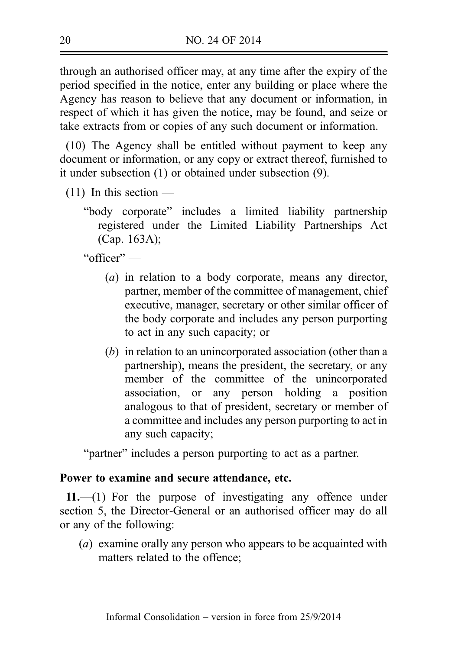through an authorised officer may, at any time after the expiry of the period specified in the notice, enter any building or place where the Agency has reason to believe that any document or information, in respect of which it has given the notice, may be found, and seize or take extracts from or copies of any such document or information.

(10) The Agency shall be entitled without payment to keep any document or information, or any copy or extract thereof, furnished to it under subsection (1) or obtained under subsection (9).

- $(11)$  In this section
	- "body corporate" includes a limited liability partnership registered under the Limited Liability Partnerships Act (Cap. 163A);

"officer" —

- (a) in relation to a body corporate, means any director, partner, member of the committee of management, chief executive, manager, secretary or other similar officer of the body corporate and includes any person purporting to act in any such capacity; or
- (b) in relation to an unincorporated association (other than a partnership), means the president, the secretary, or any member of the committee of the unincorporated association, or any person holding a position analogous to that of president, secretary or member of a committee and includes any person purporting to act in any such capacity;

"partner" includes a person purporting to act as a partner.

## Power to examine and secure attendance, etc.

11.—(1) For the purpose of investigating any offence under section 5, the Director-General or an authorised officer may do all or any of the following:

(a) examine orally any person who appears to be acquainted with matters related to the offence;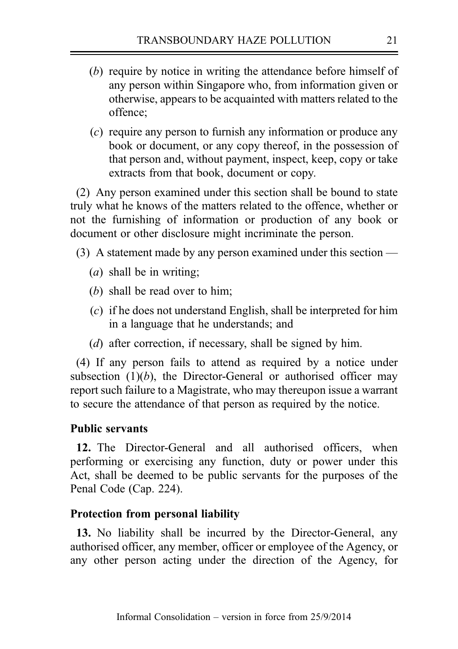- (b) require by notice in writing the attendance before himself of any person within Singapore who, from information given or otherwise, appears to be acquainted with matters related to the offence;
- (c) require any person to furnish any information or produce any book or document, or any copy thereof, in the possession of that person and, without payment, inspect, keep, copy or take extracts from that book, document or copy.

(2) Any person examined under this section shall be bound to state truly what he knows of the matters related to the offence, whether or not the furnishing of information or production of any book or document or other disclosure might incriminate the person.

- (3) A statement made by any person examined under this section
	- (*a*) shall be in writing;
	- (b) shall be read over to him:
	- (c) if he does not understand English, shall be interpreted for him in a language that he understands; and
	- (d) after correction, if necessary, shall be signed by him.

(4) If any person fails to attend as required by a notice under subsection  $(1)(b)$ , the Director-General or authorised officer may report such failure to a Magistrate, who may thereupon issue a warrant to secure the attendance of that person as required by the notice.

### Public servants

12. The Director-General and all authorised officers, when performing or exercising any function, duty or power under this Act, shall be deemed to be public servants for the purposes of the Penal Code (Cap. 224).

### Protection from personal liability

13. No liability shall be incurred by the Director–General, any authorised officer, any member, officer or employee of the Agency, or any other person acting under the direction of the Agency, for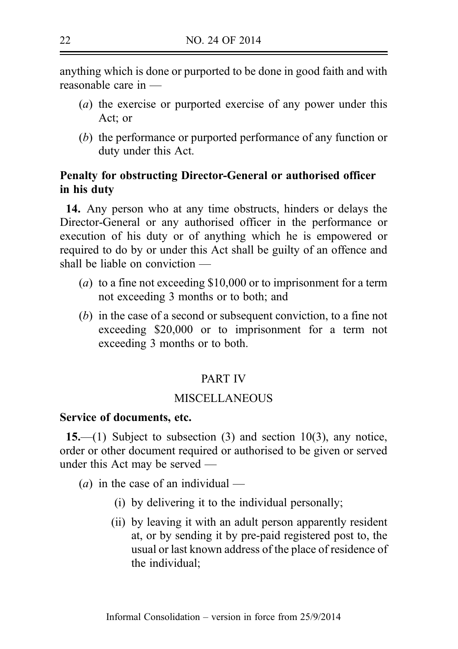anything which is done or purported to be done in good faith and with reasonable care in —

- (a) the exercise or purported exercise of any power under this Act; or
- (b) the performance or purported performance of any function or duty under this Act.

## Penalty for obstructing Director-General or authorised officer in his duty

14. Any person who at any time obstructs, hinders or delays the Director‑General or any authorised officer in the performance or execution of his duty or of anything which he is empowered or required to do by or under this Act shall be guilty of an offence and shall be liable on conviction —

- (a) to a fine not exceeding \$10,000 or to imprisonment for a term not exceeding 3 months or to both; and
- (b) in the case of a second or subsequent conviction, to a fine not exceeding \$20,000 or to imprisonment for a term not exceeding 3 months or to both.

## PART IV

## **MISCELLANEOUS**

### Service of documents, etc.

15.—(1) Subject to subsection  $(3)$  and section 10(3), any notice, order or other document required or authorised to be given or served under this Act may be served —

(*a*) in the case of an individual —

- (i) by delivering it to the individual personally;
- (ii) by leaving it with an adult person apparently resident at, or by sending it by pre-paid registered post to, the usual or last known address of the place of residence of the individual;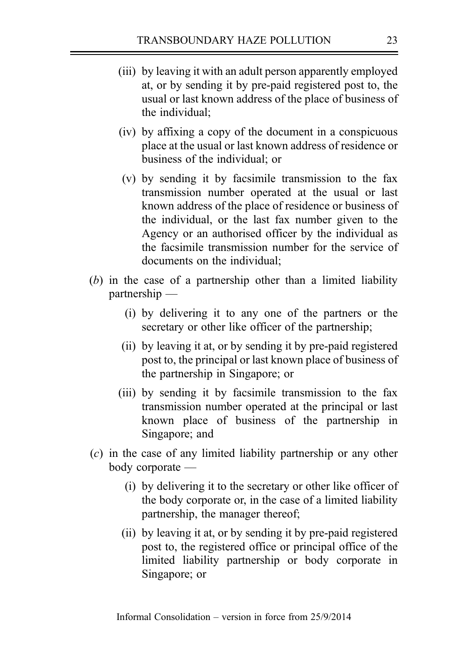- (iii) by leaving it with an adult person apparently employed at, or by sending it by pre‑paid registered post to, the usual or last known address of the place of business of the individual;
- (iv) by affixing a copy of the document in a conspicuous place at the usual or last known address of residence or business of the individual; or
- (v) by sending it by facsimile transmission to the fax transmission number operated at the usual or last known address of the place of residence or business of the individual, or the last fax number given to the Agency or an authorised officer by the individual as the facsimile transmission number for the service of documents on the individual;
- (b) in the case of a partnership other than a limited liability partnership —
	- (i) by delivering it to any one of the partners or the secretary or other like officer of the partnership;
	- (ii) by leaving it at, or by sending it by pre‑paid registered post to, the principal or last known place of business of the partnership in Singapore; or
	- (iii) by sending it by facsimile transmission to the fax transmission number operated at the principal or last known place of business of the partnership in Singapore; and
- (c) in the case of any limited liability partnership or any other body corporate —
	- (i) by delivering it to the secretary or other like officer of the body corporate or, in the case of a limited liability partnership, the manager thereof;
	- (ii) by leaving it at, or by sending it by pre-paid registered post to, the registered office or principal office of the limited liability partnership or body corporate in Singapore; or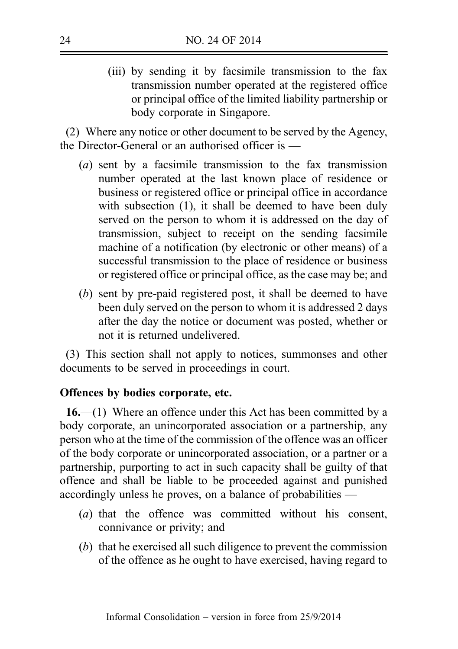(iii) by sending it by facsimile transmission to the fax transmission number operated at the registered office or principal office of the limited liability partnership or body corporate in Singapore.

(2) Where any notice or other document to be served by the Agency, the Director-General or an authorised officer is —

- (a) sent by a facsimile transmission to the fax transmission number operated at the last known place of residence or business or registered office or principal office in accordance with subsection (1), it shall be deemed to have been duly served on the person to whom it is addressed on the day of transmission, subject to receipt on the sending facsimile machine of a notification (by electronic or other means) of a successful transmission to the place of residence or business or registered office or principal office, as the case may be; and
- (b) sent by pre-paid registered post, it shall be deemed to have been duly served on the person to whom it is addressed 2 days after the day the notice or document was posted, whether or not it is returned undelivered.

(3) This section shall not apply to notices, summonses and other documents to be served in proceedings in court.

## Offences by bodies corporate, etc.

16.—(1) Where an offence under this Act has been committed by a body corporate, an unincorporated association or a partnership, any person who at the time of the commission of the offence was an officer of the body corporate or unincorporated association, or a partner or a partnership, purporting to act in such capacity shall be guilty of that offence and shall be liable to be proceeded against and punished accordingly unless he proves, on a balance of probabilities —

- (a) that the offence was committed without his consent, connivance or privity; and
- (b) that he exercised all such diligence to prevent the commission of the offence as he ought to have exercised, having regard to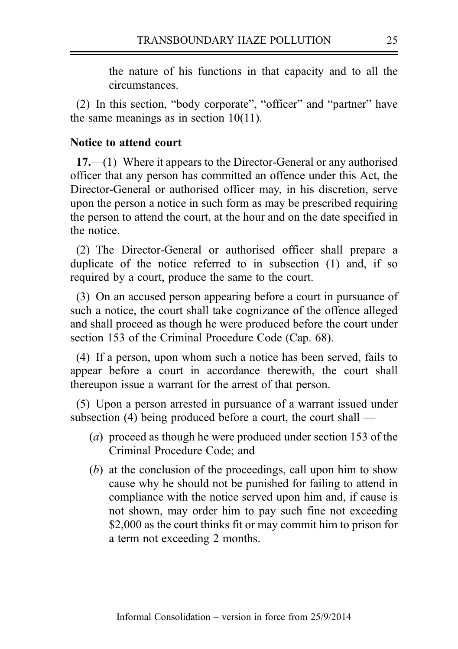the nature of his functions in that capacity and to all the circumstances.

(2) In this section, "body corporate", "officer" and "partner" have the same meanings as in section 10(11).

### Notice to attend court

17.—(1) Where it appears to the Director-General or any authorised officer that any person has committed an offence under this Act, the Director‑General or authorised officer may, in his discretion, serve upon the person a notice in such form as may be prescribed requiring the person to attend the court, at the hour and on the date specified in the notice.

(2) The Director-General or authorised officer shall prepare a duplicate of the notice referred to in subsection (1) and, if so required by a court, produce the same to the court.

(3) On an accused person appearing before a court in pursuance of such a notice, the court shall take cognizance of the offence alleged and shall proceed as though he were produced before the court under section 153 of the Criminal Procedure Code (Cap. 68).

(4) If a person, upon whom such a notice has been served, fails to appear before a court in accordance therewith, the court shall thereupon issue a warrant for the arrest of that person.

(5) Upon a person arrested in pursuance of a warrant issued under subsection (4) being produced before a court, the court shall —

- (a) proceed as though he were produced under section 153 of the Criminal Procedure Code; and
- (b) at the conclusion of the proceedings, call upon him to show cause why he should not be punished for failing to attend in compliance with the notice served upon him and, if cause is not shown, may order him to pay such fine not exceeding \$2,000 as the court thinks fit or may commit him to prison for a term not exceeding 2 months.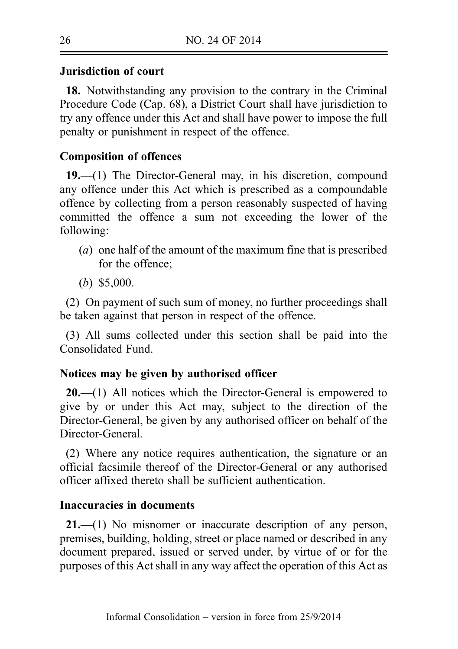## Jurisdiction of court

18. Notwithstanding any provision to the contrary in the Criminal Procedure Code (Cap. 68), a District Court shall have jurisdiction to try any offence under this Act and shall have power to impose the full penalty or punishment in respect of the offence.

## Composition of offences

19.—(1) The Director-General may, in his discretion, compound any offence under this Act which is prescribed as a compoundable offence by collecting from a person reasonably suspected of having committed the offence a sum not exceeding the lower of the following:

- (a) one half of the amount of the maximum fine that is prescribed for the offence;
- (b) \$5,000.

(2) On payment of such sum of money, no further proceedings shall be taken against that person in respect of the offence.

(3) All sums collected under this section shall be paid into the Consolidated Fund.

### Notices may be given by authorised officer

 $20$ —(1) All notices which the Director–General is empowered to give by or under this Act may, subject to the direction of the Director-General, be given by any authorised officer on behalf of the Director-General.

(2) Where any notice requires authentication, the signature or an official facsimile thereof of the Director‑General or any authorised officer affixed thereto shall be sufficient authentication.

#### Inaccuracies in documents

21.—(1) No misnomer or inaccurate description of any person, premises, building, holding, street or place named or described in any document prepared, issued or served under, by virtue of or for the purposes of this Act shall in any way affect the operation of this Act as